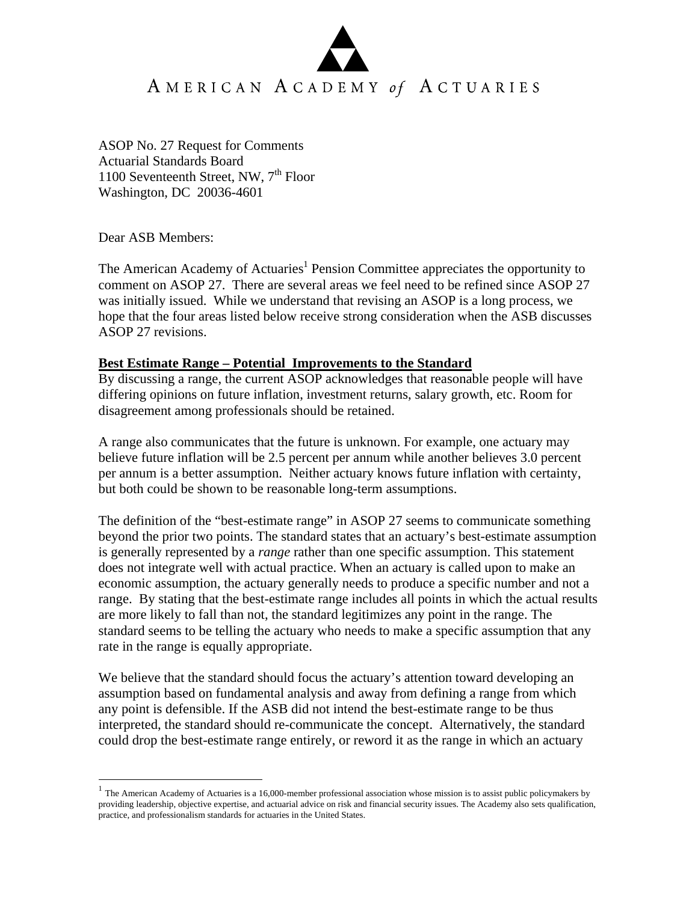ASOP No. 27 Request for Comments Actuarial Standards Board 1100 Seventeenth Street, NW,  $7<sup>th</sup>$  Floor Washington, DC 20036-4601

Dear ASB Members:

 $\overline{a}$ 

The American Academy of Actuaries<sup>1</sup> Pension Committee appreciates the opportunity to comment on ASOP 27. There are several areas we feel need to be refined since ASOP 27 was initially issued. While we understand that revising an ASOP is a long process, we hope that the four areas listed below receive strong consideration when the ASB discusses ASOP 27 revisions.

## **Best Estimate Range – Potential Improvements to the Standard**

By discussing a range, the current ASOP acknowledges that reasonable people will have differing opinions on future inflation, investment returns, salary growth, etc. Room for disagreement among professionals should be retained.

A range also communicates that the future is unknown. For example, one actuary may believe future inflation will be 2.5 percent per annum while another believes 3.0 percent per annum is a better assumption. Neither actuary knows future inflation with certainty, but both could be shown to be reasonable long-term assumptions.

The definition of the "best-estimate range" in ASOP 27 seems to communicate something beyond the prior two points. The standard states that an actuary's best-estimate assumption is generally represented by a *range* rather than one specific assumption. This statement does not integrate well with actual practice. When an actuary is called upon to make an economic assumption, the actuary generally needs to produce a specific number and not a range. By stating that the best-estimate range includes all points in which the actual results are more likely to fall than not, the standard legitimizes any point in the range. The standard seems to be telling the actuary who needs to make a specific assumption that any rate in the range is equally appropriate.

We believe that the standard should focus the actuary's attention toward developing an assumption based on fundamental analysis and away from defining a range from which any point is defensible. If the ASB did not intend the best-estimate range to be thus interpreted, the standard should re-communicate the concept. Alternatively, the standard could drop the best-estimate range entirely, or reword it as the range in which an actuary

<sup>1</sup> The American Academy of Actuaries is a 16,000-member professional association whose mission is to assist public policymakers by providing leadership, objective expertise, and actuarial advice on risk and financial security issues. The Academy also sets qualification, practice, and professionalism standards for actuaries in the United States.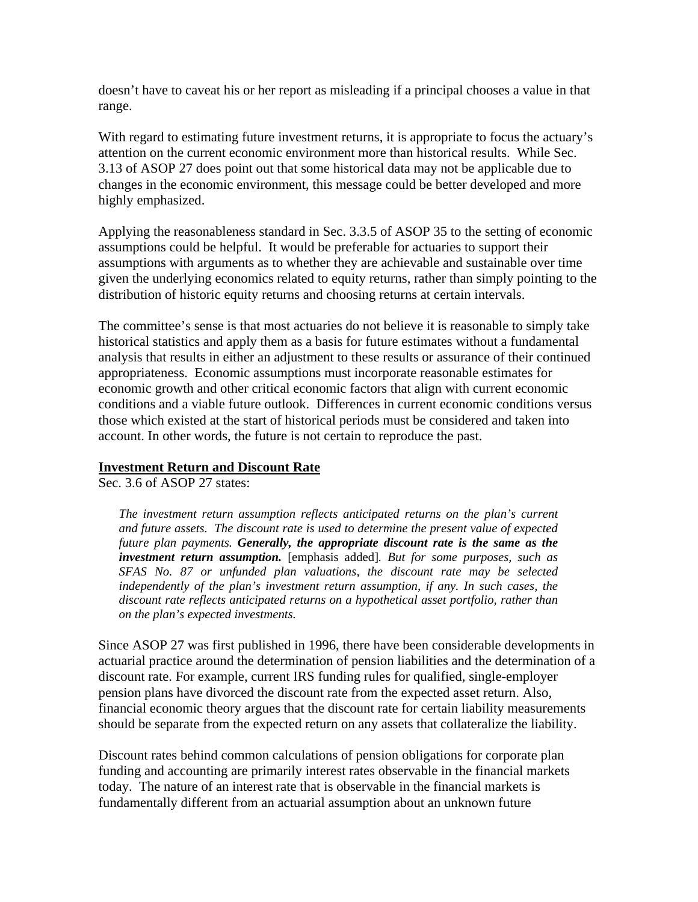doesn't have to caveat his or her report as misleading if a principal chooses a value in that range.

With regard to estimating future investment returns, it is appropriate to focus the actuary's attention on the current economic environment more than historical results. While Sec. 3.13 of ASOP 27 does point out that some historical data may not be applicable due to changes in the economic environment, this message could be better developed and more highly emphasized.

Applying the reasonableness standard in Sec. 3.3.5 of ASOP 35 to the setting of economic assumptions could be helpful. It would be preferable for actuaries to support their assumptions with arguments as to whether they are achievable and sustainable over time given the underlying economics related to equity returns, rather than simply pointing to the distribution of historic equity returns and choosing returns at certain intervals.

The committee's sense is that most actuaries do not believe it is reasonable to simply take historical statistics and apply them as a basis for future estimates without a fundamental analysis that results in either an adjustment to these results or assurance of their continued appropriateness. Economic assumptions must incorporate reasonable estimates for economic growth and other critical economic factors that align with current economic conditions and a viable future outlook. Differences in current economic conditions versus those which existed at the start of historical periods must be considered and taken into account. In other words, the future is not certain to reproduce the past.

## **Investment Return and Discount Rate**

Sec. 3.6 of ASOP 27 states:

*The investment return assumption reflects anticipated returns on the plan's current and future assets. The discount rate is used to determine the present value of expected future plan payments. Generally, the appropriate discount rate is the same as the investment return assumption.* [emphasis added]*. But for some purposes, such as SFAS No. 87 or unfunded plan valuations, the discount rate may be selected independently of the plan's investment return assumption, if any. In such cases, the discount rate reflects anticipated returns on a hypothetical asset portfolio, rather than on the plan's expected investments.* 

Since ASOP 27 was first published in 1996, there have been considerable developments in actuarial practice around the determination of pension liabilities and the determination of a discount rate. For example, current IRS funding rules for qualified, single-employer pension plans have divorced the discount rate from the expected asset return. Also, financial economic theory argues that the discount rate for certain liability measurements should be separate from the expected return on any assets that collateralize the liability.

Discount rates behind common calculations of pension obligations for corporate plan funding and accounting are primarily interest rates observable in the financial markets today. The nature of an interest rate that is observable in the financial markets is fundamentally different from an actuarial assumption about an unknown future